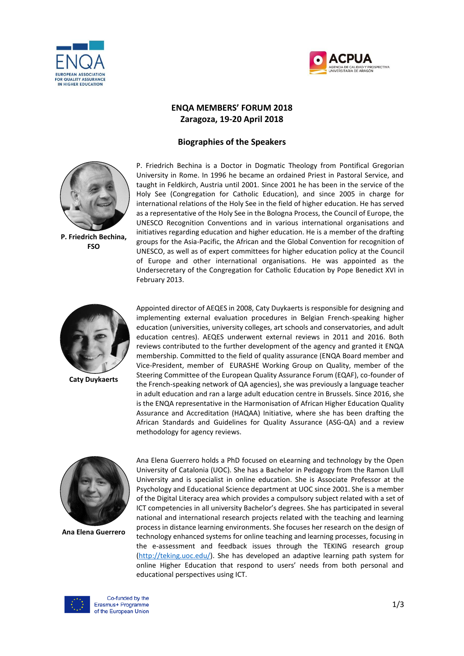



## **ENQA MEMBERS' FORUM 2018 Zaragoza, 19-20 April 2018**

## **Biographies of the Speakers**



**P. Friedrich Bechina, FSO**

P. Friedrich Bechina is a Doctor in Dogmatic Theology from Pontifical Gregorian University in Rome. In 1996 he became an ordained Priest in Pastoral Service, and taught in Feldkirch, Austria until 2001. Since 2001 he has been in the service of the Holy See (Congregation for Catholic Education), and since 2005 in charge for international relations of the Holy See in the field of higher education. He has served as a representative of the Holy See in the Bologna Process, the Council of Europe, the UNESCO Recognition Conventions and in various international organisations and initiatives regarding education and higher education. He is a member of the drafting groups for the Asia-Pacific, the African and the Global Convention for recognition of UNESCO, as well as of expert committees for higher education policy at the Council of Europe and other international organisations. He was appointed as the Undersecretary of the Congregation for Catholic Education by Pope Benedict XVI in February 2013.



**Caty Duykaerts**

Appointed director of AEQES in 2008, Caty Duykaerts is responsible for designing and implementing external evaluation procedures in Belgian French-speaking higher education (universities, university colleges, art schools and conservatories, and adult education centres). AEQES underwent external reviews in 2011 and 2016. Both reviews contributed to the further development of the agency and granted it ENQA membership. Committed to the field of quality assurance (ENQA Board member and Vice-President, member of EURASHE Working Group on Quality, member of the Steering Committee of the European Quality Assurance Forum (EQAF), co-founder of the French-speaking network of QA agencies), she was previously a language teacher in adult education and ran a large adult education centre in Brussels. Since 2016, she is the ENQA representative in the Harmonisation of African Higher Education Quality Assurance and Accreditation (HAQAA) Initiative, where she has been drafting the African Standards and Guidelines for Quality Assurance (ASG-QA) and a review methodology for agency reviews.



**Ana Elena Guerrero**

Ana Elena Guerrero holds a PhD focused on eLearning and technology by the Open University of Catalonia (UOC). She has a Bachelor in Pedagogy from the Ramon Llull University and is specialist in online education. She is Associate Professor at the Psychology and Educational Science department at UOC since 2001. She is a member of the Digital Literacy area which provides a compulsory subject related with a set of ICT competencies in all university Bachelor's degrees. She has participated in several national and international research projects related with the teaching and learning process in distance learning environments. She focuses her research on the design of technology enhanced systems for online teaching and learning processes, focusing in the e-assessment and feedback issues through the TEKING research group [\(http://teking.uoc.edu/\)](http://teking.uoc.edu/). She has developed an adaptive learning path system for online Higher Education that respond to users' needs from both personal and educational perspectives using ICT.

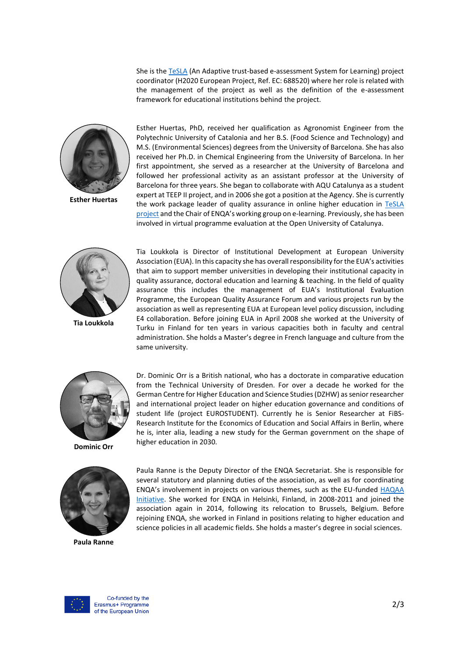She is th[e TeSLA](http://tesla-project.eu/) (An Adaptive trust-based e-assessment System for Learning) project coordinator (H2020 European Project, Ref. EC: 688520) where her role is related with the management of the project as well as the definition of the e-assessment framework for educational institutions behind the project.



**Esther Huertas**

Esther Huertas, PhD, received her qualification as Agronomist Engineer from the Polytechnic University of Catalonia and her B.S. (Food Science and Technology) and M.S. (Environmental Sciences) degrees from the University of Barcelona. She has also received her Ph.D. in Chemical Engineering from the University of Barcelona. In her first appointment, she served as a researcher at the University of Barcelona and followed her professional activity as an assistant professor at the University of Barcelona for three years. She began to collaborate with AQU Catalunya as a student expert at TEEP II project, and in 2006 she got a position at the Agency. She is currently the work package leader of quality assurance in online higher education in [TeSLA](http://tesla-project.eu/) [project](http://tesla-project.eu/) and the Chair of ENQA's working group on e-learning. Previously, she has been involved in virtual programme evaluation at the Open University of Catalunya.



**Tia Loukkola**

Tia Loukkola is Director of Institutional Development at European University Association (EUA). In this capacity she has overall responsibility for the EUA's activities that aim to support member universities in developing their institutional capacity in quality assurance, doctoral education and learning & teaching. In the field of quality assurance this includes the management of EUA's Institutional Evaluation Programme, the European Quality Assurance Forum and various projects run by the association as well as representing EUA at European level policy discussion, including E4 collaboration. Before joining EUA in April 2008 she worked at the University of Turku in Finland for ten years in various capacities both in faculty and central administration. She holds a Master's degree in French language and culture from the same university.



**Dominic Orr**



**Paula Ranne**

Dr. Dominic Orr is a British national, who has a doctorate in comparative education from the Technical University of Dresden. For over a decade he worked for the German Centre for Higher Education and Science Studies (DZHW) as senior researcher and international project leader on higher education governance and conditions of student life (project EUROSTUDENT). Currently he is Senior Researcher at FiBS-Research Institute for the Economics of Education and Social Affairs in Berlin, where he is, inter alia, leading a new study for the German government on the shape of higher education in 2030.

Paula Ranne is the Deputy Director of the ENQA Secretariat. She is responsible for several statutory and planning duties of the association, as well as for coordinating ENQA's involvement in projects on various themes, such as the EU-funded [HAQAA](https://haqaa.aau.org/)  [Initiative.](https://haqaa.aau.org/) She worked for ENQA in Helsinki, Finland, in 2008-2011 and joined the association again in 2014, following its relocation to Brussels, Belgium. Before rejoining ENQA, she worked in Finland in positions relating to higher education and science policies in all academic fields. She holds a master's degree in social sciences.